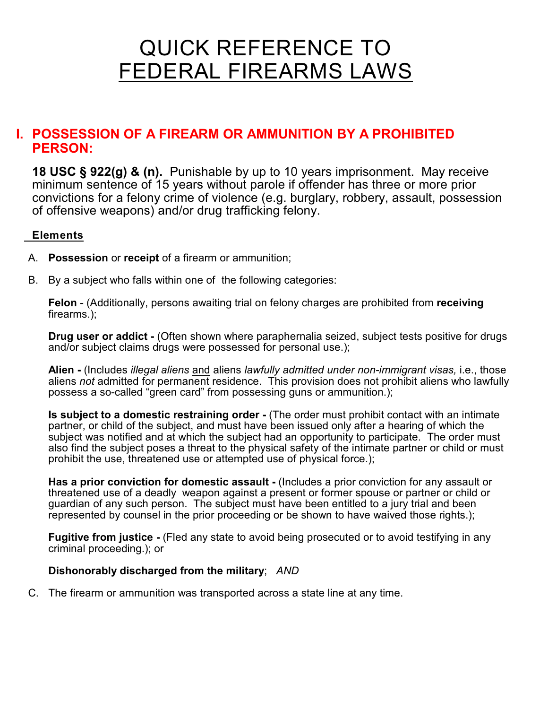# QUICK REFERENCE TO FEDERAL FIREARMS LAWS

#### **I. POSSESSION OF A FIREARM OR AMMUNITION BY A PROHIBITED PERSON:**

**18 USC § 922(g) & (n).** Punishable by up to 10 years imprisonment. May receive minimum sentence of 15 years without parole if offender has three or more prior convictions for a felony crime of violence (e.g. burglary, robbery, assault, possession of offensive weapons) and/or drug trafficking felony.

#### **Elements**

- A. **Possession** or **receipt** of a firearm or ammunition;
- B. By a subject who falls within one of the following categories:

**Felon** - (Additionally, persons awaiting trial on felony charges are prohibited from **receiving** firearms.);

**Drug user or addict -** (Often shown where paraphernalia seized, subject tests positive for drugs and/or subject claims drugs were possessed for personal use.);

 **Alien -** (Includes *illegal aliens* and aliens *lawfully admitted under non-immigrant visas,* i.e., those aliens *not* admitted for permanent residence. This provision does not prohibit aliens who lawfully possess a so-called "green card" from possessing guns or ammunition.);

**Is subject to a domestic restraining order -** (The order must prohibit contact with an intimate partner, or child of the subject, and must have been issued only after a hearing of which the subject was notified and at which the subject had an opportunity to participate. The order must also find the subject poses a threat to the physical safety of the intimate partner or child or must prohibit the use, threatened use or attempted use of physical force.);

**Has a prior conviction for domestic assault -** (Includes a prior conviction for any assault or threatened use of a deadly weapon against a present or former spouse or partner or child or guardian of any such person. The subject must have been entitled to a jury trial and been represented by counsel in the prior proceeding or be shown to have waived those rights.);

**Fugitive from justice -** (Fled any state to avoid being prosecuted or to avoid testifying in any criminal proceeding.); or

#### **Dishonorably discharged from the military**; *AND*

C. The firearm or ammunition was transported across a state line at any time.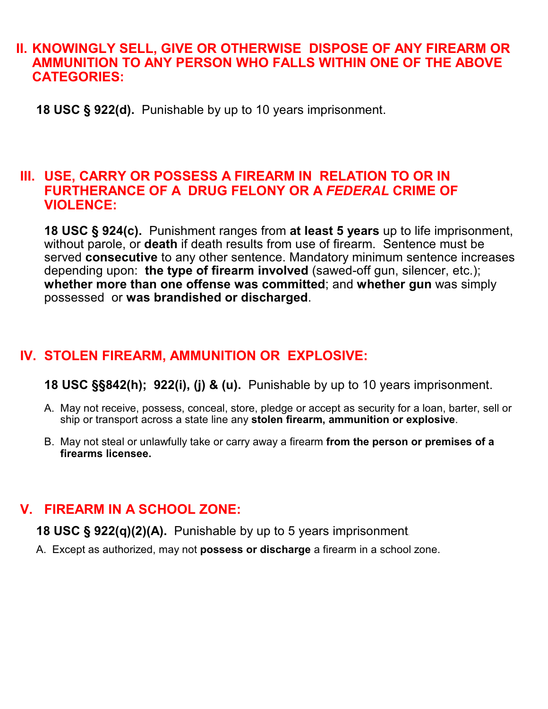#### **II. KNOWINGLY SELL, GIVE OR OTHERWISE DISPOSE OF ANY FIREARM OR AMMUNITION TO ANY PERSON WHO FALLS WITHIN ONE OF THE ABOVE CATEGORIES:**

 **18 USC § 922(d).** Punishable by up to 10 years imprisonment.

#### **III. USE, CARRY OR POSSESS A FIREARM IN RELATION TO OR IN FURTHERANCE OF A DRUG FELONY OR A** *FEDERAL* **CRIME OF VIOLENCE:**

**18 USC § 924(c).** Punishment ranges from **at least 5 years** up to life imprisonment, without parole, or **death** if death results from use of firearm. Sentence must be served **consecutive** to any other sentence. Mandatory minimum sentence increases depending upon: **the type of firearm involved** (sawed-off gun, silencer, etc.); **whether more than one offense was committed**; and **whether gun** was simply possessed or **was brandished or discharged**.

# **IV. STOLEN FIREARM, AMMUNITION OR EXPLOSIVE:**

**18 USC §§842(h); 922(i), (j) & (u).** Punishable by up to 10 years imprisonment.

- A. May not receive, possess, conceal, store, pledge or accept as security for a loan, barter, sell or ship or transport across a state line any **stolen firearm, ammunition or explosive**.
- B. May not steal or unlawfully take or carry away a firearm **from the person or premises of a firearms licensee.**

## **V. FIREARM IN A SCHOOL ZONE:**

**18 USC § 922(q)(2)(A).** Punishable by up to 5 years imprisonment.

A. Except as authorized, may not **possess or discharge** a firearm in a school zone.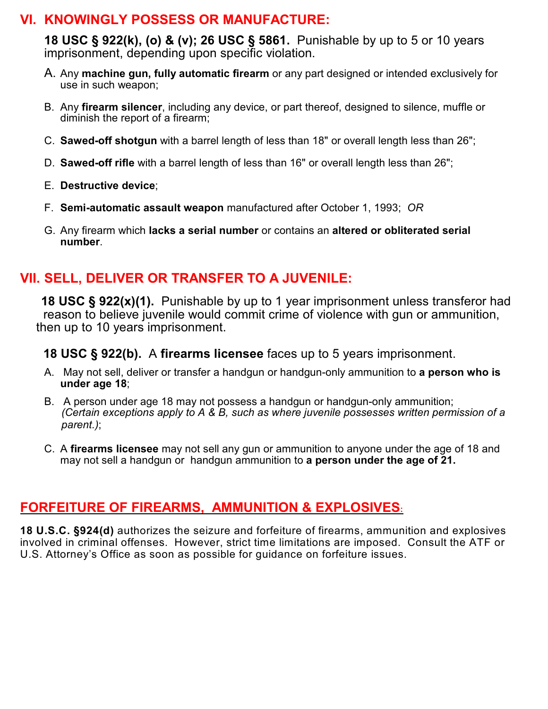#### **VI. KNOWINGLY POSSESS OR MANUFACTURE:**

**18 USC § 922(k), (o) & (v); 26 USC § 5861.** Punishable by up to 5 or 10 years imprisonment, depending upon specific violation.

- A. Any **machine gun, fully automatic firearm** or any part designed or intended exclusively for use in such weapon;
- B. Any **firearm silencer**, including any device, or part thereof, designed to silence, muffle or diminish the report of a firearm;
- C. **Sawed-off shotgun** with a barrel length of less than 18" or overall length less than 26";
- D. **Sawed-off rifle** with a barrel length of less than 16" or overall length less than 26";
- E. **Destructive device**;
- F. **Semi-automatic assault weapon** manufactured after October 1, 1993; *OR*
- G. Any firearm which **lacks a serial number** or contains an **altered or obliterated serial number**.

## **VII. SELL, DELIVER OR TRANSFER TO A JUVENILE:**

 **18 USC § 922(x)(1).** Punishable by up to 1 year imprisonment unless transferor had reason to believe juvenile would commit crime of violence with gun or ammunition, then up to 10 years imprisonment.

#### **18 USC § 922(b).** A **firearms licensee** faces up to 5 years imprisonment.

- A. May not sell, deliver or transfer a handgun or handgun-only ammunition to **a person who is under age 18**;
- B. A person under age 18 may not possess a handgun or handgun-only ammunition;  *(Certain exceptions apply to A & B, such as where juvenile possesses written permission of a parent.)*;
- C. A **firearms licensee** may not sell any gun or ammunition to anyone under the age of 18 and may not sell a handgun or handgun ammunition to **a person under the age of 21.**

## **FORFEITURE OF FIREARMS, AMMUNITION & EXPLOSIVES:**

**18 U.S.C. §924(d)** authorizes the seizure and forfeiture of firearms, ammunition and explosives involved in criminal offenses. However, strict time limitations are imposed. Consult the ATF or U.S. Attorney's Office as soon as possible for guidance on forfeiture issues.